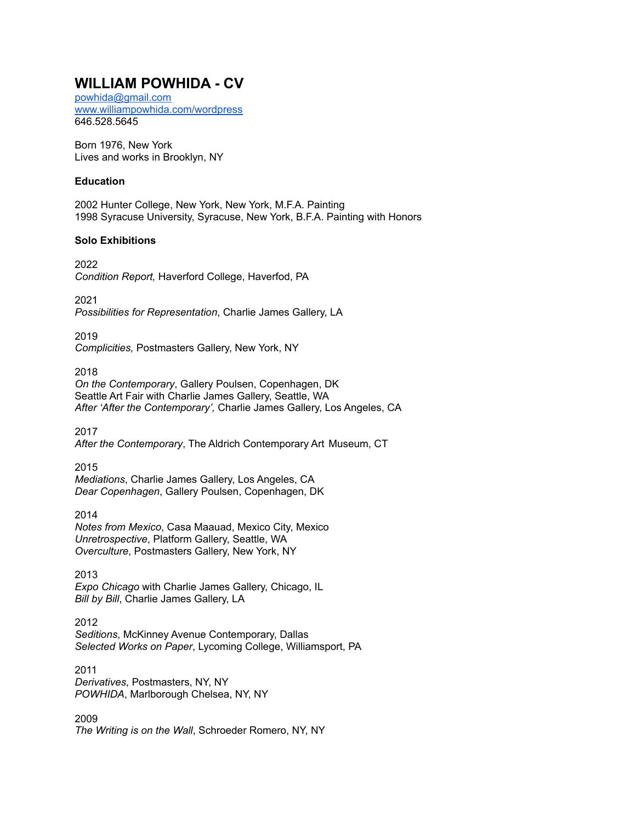# **WILLIAM POWHIDA - CV**

[powhida@gmail.com](mailto:powhida@gmail.com) [www.williampowhida.com/wordpress](http://www.williampowhida.com/wordpress) 646.528.5645

Born 1976, New York Lives and works in Brooklyn, NY

## **Education**

2002 Hunter College, New York, New York, M.F.A. Painting 1998 Syracuse University, Syracuse, New York, B.F.A. Painting with Honors

## **Solo Exhibitions**

2022 *Condition Report,* Haverford College, Haverfod, PA

2021 *Possibilities for Representation*, Charlie James Gallery, LA

2019 *Complicities,* Postmasters Gallery, New York, NY

2018 *On the Contemporary*, Gallery Poulsen, Copenhagen, DK Seattle Art Fair with Charlie James Gallery, Seattle, WA *After 'After the Contemporary',* Charlie James Gallery, Los Angeles, CA

2017 *After the Contemporary*, The Aldrich Contemporary Art Museum, CT

2015 *Mediations*, Charlie James Gallery, Los Angeles, CA *Dear Copenhagen*, Gallery Poulsen, Copenhagen, DK

2014 *Notes from Mexico*, Casa Maauad, Mexico City, Mexico *Unretrospective*, Platform Gallery, Seattle, WA *Overculture*, Postmasters Gallery, New York, NY

2013 *Expo Chicago* with Charlie James Gallery, Chicago, IL *Bill by Bill*, Charlie James Gallery, LA

2012 *Seditions*, McKinney Avenue Contemporary, Dallas *Selected Works on Paper*, Lycoming College, Williamsport, PA

2011 *Derivatives*, Postmasters, NY, NY *POWHIDA*, Marlborough Chelsea, NY, NY

2009 *The Writing is on the Wall*, Schroeder Romero, NY, NY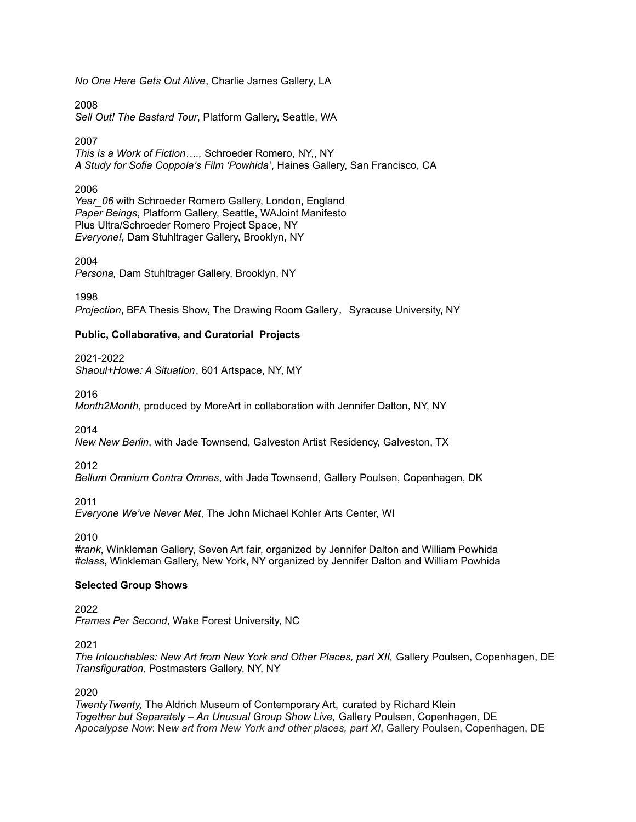*No One Here Gets Out Alive*, Charlie James Gallery, LA

2008 *Sell Out! The Bastard Tour*, Platform Gallery, Seattle, WA

2007

*This is a Work of Fiction….,* Schroeder Romero, NY,, NY *A Study for Sofia Coppola's Film 'Powhida'*, Haines Gallery, San Francisco, CA

2006

Year\_06 with Schroeder Romero Gallery, London, England *Paper Beings*, Platform Gallery, Seattle, WAJoint Manifesto Plus Ultra/Schroeder Romero Project Space, NY *Everyone!,* Dam Stuhltrager Gallery, Brooklyn, NY

2004 *Persona,* Dam Stuhltrager Gallery, Brooklyn, NY

1998 *Projection*, BFA Thesis Show, The Drawing Room Gallery, Syracuse University, NY

## **Public, Collaborative, and Curatorial Projects**

2021-2022

*Shaoul+Howe: A Situation*, 601 Artspace, NY, MY

2016

*Month2Month*, produced by MoreArt in collaboration with Jennifer Dalton, NY, NY

2014

*New New Berlin*, with Jade Townsend, Galveston Artist Residency, Galveston, TX

2012

*Bellum Omnium Contra Omnes*, with Jade Townsend, Gallery Poulsen, Copenhagen, DK

2011

*Everyone We've Never Met*, The John Michael Kohler Arts Center, WI

2010

*#rank*, Winkleman Gallery, Seven Art fair, organized by Jennifer Dalton and William Powhida *#class*, Winkleman Gallery, New York, NY organized by Jennifer Dalton and William Powhida

## **Selected Group Shows**

2022 *Frames Per Second*, Wake Forest University, NC

2021

*The Intouchables: New Art from New York and Other Places, part XII,* Gallery Poulsen, Copenhagen, DE *Transfiguration,* Postmasters Gallery, NY, NY

2020

*TwentyTwenty,* The Aldrich Museum of Contemporary Art, curated by Richard Klein *Together but Separately – An Unusual Group Show Live,* Gallery Poulsen, Copenhagen, DE *Apocalypse Now*: Ne*w art from New York and other places, part XI*, Gallery Poulsen, Copenhagen, DE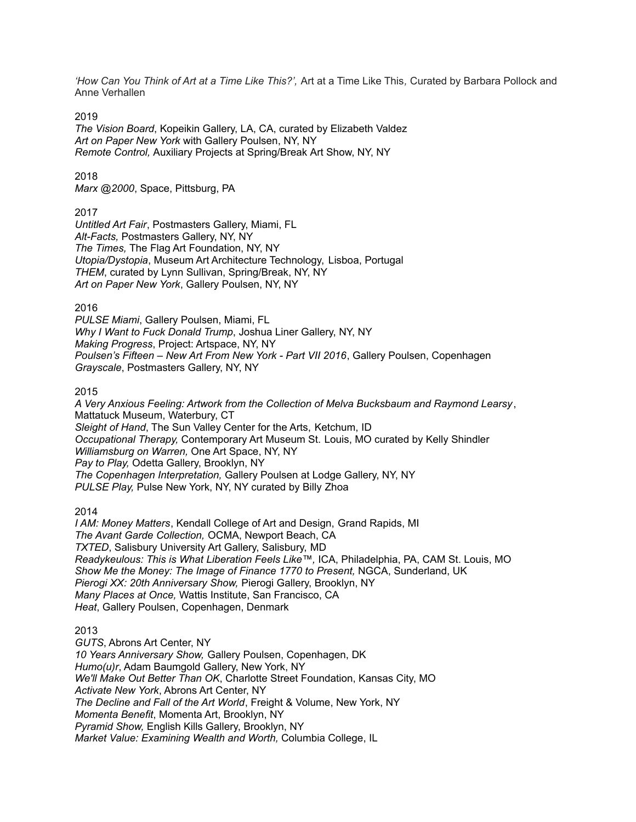*'How Can You Think of Art at a Time Like This?',* Art at a Time Like This*,* Curated by Barbara Pollock and Anne Verhallen

2019

*The Vision Board*, Kopeikin Gallery, LA, CA, curated by Elizabeth Valdez *Art on Paper New York* with Gallery Poulsen, NY, NY *Remote Control,* Auxiliary Projects at Spring/Break Art Show, NY, NY

2018

*Marx @2000*, Space, Pittsburg, PA

#### 2017

*Untitled Art Fair*, Postmasters Gallery, Miami, FL *Alt-Facts,* Postmasters Gallery, NY, NY *The Times,* The Flag Art Foundation, NY, NY *Utopia/Dystopia*, Museum Art Architecture Technology, Lisboa, Portugal *THEM*, curated by Lynn Sullivan, Spring/Break, NY, NY *Art on Paper New York*, Gallery Poulsen, NY, NY

2016

*PULSE Miami*, Gallery Poulsen, Miami, FL *Why I Want to Fuck Donald Trump*, Joshua Liner Gallery, NY, NY *Making Progress*, Project: Artspace, NY, NY *Poulsen's Fifteen – New Art From New York - Part VII 2016*, Gallery Poulsen, Copenhagen *Grayscale*, Postmasters Gallery, NY, NY

2015

*A Very Anxious Feeling: Artwork from the Collection of Melva Bucksbaum and Raymond Learsy*, Mattatuck Museum, Waterbury, CT *Sleight of Hand*, The Sun Valley Center for the Arts, Ketchum, ID *Occupational Therapy,* Contemporary Art Museum St. Louis, MO curated by Kelly Shindler *Williamsburg on Warren,* One Art Space, NY, NY *Pay to Play,* Odetta Gallery, Brooklyn, NY *The Copenhagen Interpretation,* Gallery Poulsen at Lodge Gallery, NY, NY *PULSE Play,* Pulse New York, NY, NY curated by Billy Zhoa

2014

*I AM: Money Matters*, Kendall College of Art and Design, Grand Rapids, MI *The Avant Garde Collection,* OCMA, Newport Beach, CA *TXTED*, Salisbury University Art Gallery, Salisbury, MD *Readykeulous: This is What Liberation Feels Like™,* ICA, Philadelphia, PA, CAM St. Louis, MO *Show Me the Money: The Image of Finance 1770 to Present,* NGCA, Sunderland, UK *Pierogi XX: 20th Anniversary Show,* Pierogi Gallery, Brooklyn, NY *Many Places at Once,* Wattis Institute, San Francisco, CA *Heat*, Gallery Poulsen, Copenhagen, Denmark

2013

*GUTS*, Abrons Art Center, NY *10 Years Anniversary Show,* Gallery Poulsen, Copenhagen, DK *Humo(u)r*, Adam Baumgold Gallery, New York, NY *We'll Make Out Better Than OK*, Charlotte Street Foundation, Kansas City, MO *Activate New York*, Abrons Art Center, NY *The Decline and Fall of the Art World*, Freight & Volume, New York, NY *Momenta Benefit*, Momenta Art, Brooklyn, NY *Pyramid Show,* English Kills Gallery, Brooklyn, NY *Market Value: Examining Wealth and Worth,* Columbia College, IL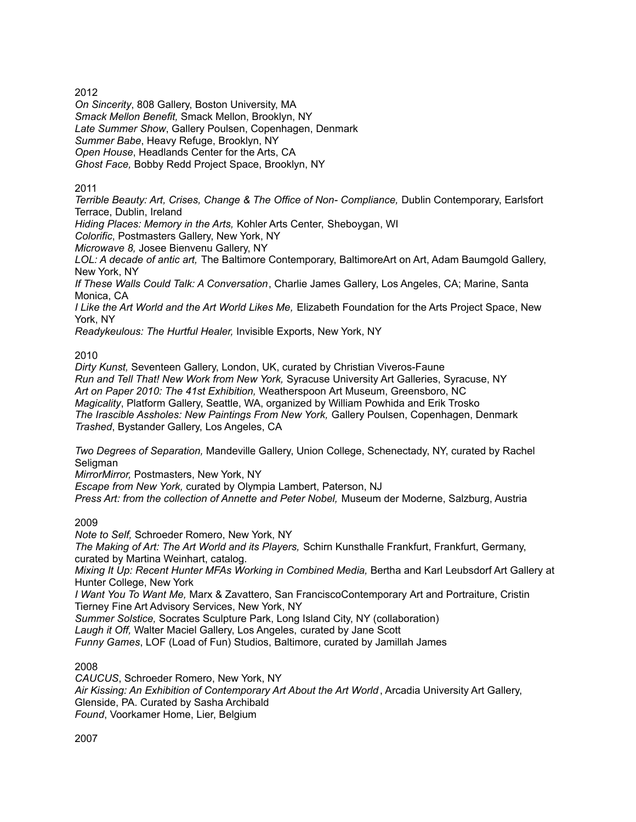2012

*On Sincerity*, 808 Gallery, Boston University, MA *Smack Mellon Benefit,* Smack Mellon, Brooklyn, NY *Late Summer Show*, Gallery Poulsen, Copenhagen, Denmark *Summer Babe*, Heavy Refuge, Brooklyn, NY *Open House*, Headlands Center for the Arts, CA *Ghost Face,* Bobby Redd Project Space, Brooklyn, NY

2011

*Terrible Beauty: Art, Crises, Change & The Office of Non- Compliance,* Dublin Contemporary, Earlsfort Terrace, Dublin, Ireland

*Hiding Places: Memory in the Arts,* Kohler Arts Center, Sheboygan, WI

*Colorific*, Postmasters Gallery, New York, NY

*Microwave 8,* Josee Bienvenu Gallery, NY

*LOL: A decade of antic art,* The Baltimore Contemporary, BaltimoreArt on Art, Adam Baumgold Gallery, New York, NY

*If These Walls Could Talk: A Conversation*, Charlie James Gallery, Los Angeles, CA; Marine, Santa Monica, CA

*I Like the Art World and the Art World Likes Me,* Elizabeth Foundation for the Arts Project Space, New York, NY

*Readykeulous: The Hurtful Healer,* Invisible Exports, New York, NY

#### 2010

*Dirty Kunst,* Seventeen Gallery, London, UK, curated by Christian Viveros-Faune *Run and Tell That! New Work from New York,* Syracuse University Art Galleries, Syracuse, NY *Art on Paper 2010: The 41st Exhibition,* Weatherspoon Art Museum, Greensboro, NC *Magicality*, Platform Gallery, Seattle, WA, organized by William Powhida and Erik Trosko *The Irascible Assholes: New Paintings From New York,* Gallery Poulsen, Copenhagen, Denmark *Trashed*, Bystander Gallery, Los Angeles, CA

*Two Degrees of Separation,* Mandeville Gallery, Union College, Schenectady, NY, curated by Rachel Seligman

*MirrorMirror,* Postmasters, New York, NY

*Escape from New York,* curated by Olympia Lambert, Paterson, NJ

*Press Art: from the collection of Annette and Peter Nobel,* Museum der Moderne, Salzburg, Austria

## 2009

*Note to Self,* Schroeder Romero, New York, NY

*The Making of Art: The Art World and its Players,* Schirn Kunsthalle Frankfurt, Frankfurt, Germany, curated by Martina Weinhart, catalog.

*Mixing It Up: Recent Hunter MFAs Working in Combined Media,* Bertha and Karl Leubsdorf Art Gallery at Hunter College, New York

*I Want You To Want Me,* Marx & Zavattero, San FranciscoContemporary Art and Portraiture, Cristin Tierney Fine Art Advisory Services, New York, NY

*Summer Solstice,* Socrates Sculpture Park, Long Island City, NY (collaboration)

*Laugh it Off,* Walter Maciel Gallery, Los Angeles, curated by Jane Scott

*Funny Games*, LOF (Load of Fun) Studios, Baltimore, curated by Jamillah James

## 2008

*CAUCUS*, Schroeder Romero, New York, NY *Air Kissing: An Exhibition of Contemporary Art About the Art World* , Arcadia University Art Gallery, Glenside, PA. Curated by Sasha Archibald *Found*, Voorkamer Home, Lier, Belgium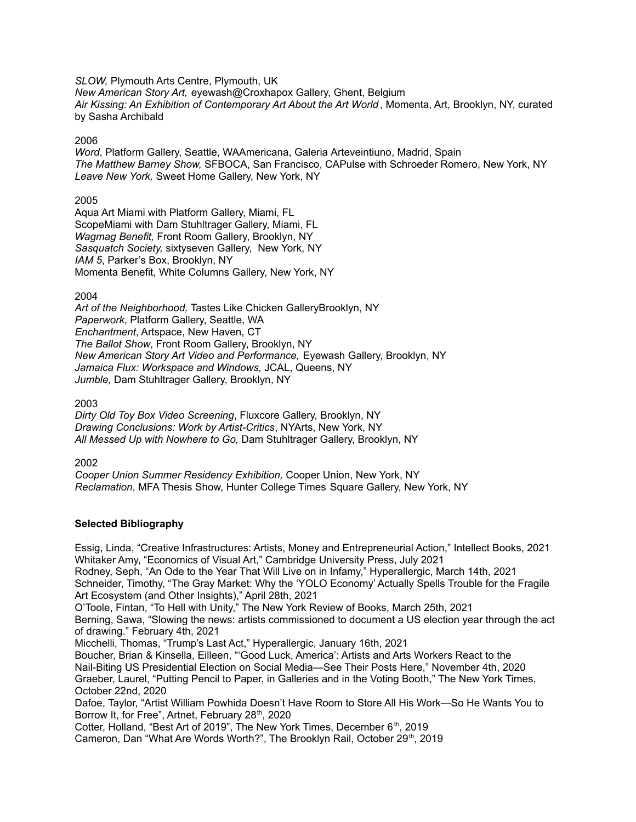*SLOW,* Plymouth Arts Centre, Plymouth, UK

*New American Story Art,* eyewash@Croxhapox Gallery, Ghent, Belgium *Air Kissing: An Exhibition of Contemporary Art About the Art World* , Momenta, Art, Brooklyn, NY, curated by Sasha Archibald

#### 2006

*Word*, Platform Gallery, Seattle, WAAmericana, Galeria Arteveintiuno, Madrid, Spain *The Matthew Barney Show,* SFBOCA, San Francisco, CAPulse with Schroeder Romero, New York, NY *Leave New York,* Sweet Home Gallery, New York, NY

#### 2005

Aqua Art Miami with Platform Gallery, Miami, FL ScopeMiami with Dam Stuhltrager Gallery, Miami, FL *Wagmag Benefit,* Front Room Gallery, Brooklyn, NY *Sasquatch Society,* sixtyseven Gallery, New York, NY *IAM 5*, Parker's Box, Brooklyn, NY Momenta Benefit, White Columns Gallery, New York, NY

2004

*Art of the Neighborhood,* Tastes Like Chicken GalleryBrooklyn, NY *Paperwork*, Platform Gallery, Seattle, WA *Enchantment*, Artspace, New Haven, CT *The Ballot Show*, Front Room Gallery, Brooklyn, NY *New American Story Art Video and Performance,* Eyewash Gallery, Brooklyn, NY *Jamaica Flux: Workspace and Windows,* JCAL, Queens, NY *Jumble,* Dam Stuhltrager Gallery, Brooklyn, NY

2003

*Dirty Old Toy Box Video Screening*, Fluxcore Gallery, Brooklyn, NY *Drawing Conclusions: Work by Artist-Critics*, NYArts, New York, NY *All Messed Up with Nowhere to Go,* Dam Stuhltrager Gallery, Brooklyn, NY

2002

*Cooper Union Summer Residency Exhibition,* Cooper Union, New York, NY *Reclamation*, MFA Thesis Show, Hunter College Times Square Gallery, New York, NY

## **Selected Bibliography**

Essig, Linda, "Creative Infrastructures: Artists, Money and Entrepreneurial Action," Intellect Books, 2021 Whitaker Amy, "Economics of Visual Art," Cambridge University Press, July 2021

Rodney, Seph, "An Ode to the Year That Will Live on in Infamy," Hyperallergic, March 14th, 2021 Schneider, Timothy, "The Gray Market: Why the 'YOLO Economy' Actually Spells Trouble for the Fragile Art Ecosystem (and Other Insights)," April 28th, 2021

O'Toole, Fintan, "To Hell with Unity," The New York Review of Books, March 25th, 2021 Berning, Sawa, "Slowing the news: artists commissioned to document a US election year through the act of drawing." February 4th, 2021

Micchelli, Thomas, "Trump's Last Act," Hyperallergic, January 16th, 2021

Boucher, Brian & Kinsella, Eilleen, "'Good Luck, America': Artists and Arts Workers React to the Nail-Biting US Presidential Election on Social Media—See Their Posts Here," November 4th, 2020 Graeber, Laurel, "Putting Pencil to Paper, in Galleries and in the Voting Booth," The New York Times, October 22nd, 2020

Dafoe, Taylor, "Artist William Powhida Doesn't Have Room to Store All His Work—So He Wants You to Borrow It, for Free", Artnet, February 28<sup>th</sup>, 2020

Cotter, Holland, "Best Art of 2019", The New York Times, December 6<sup>th</sup>, 2019

Cameron, Dan "What Are Words Worth?", The Brooklyn Rail, October 29<sup>th</sup>, 2019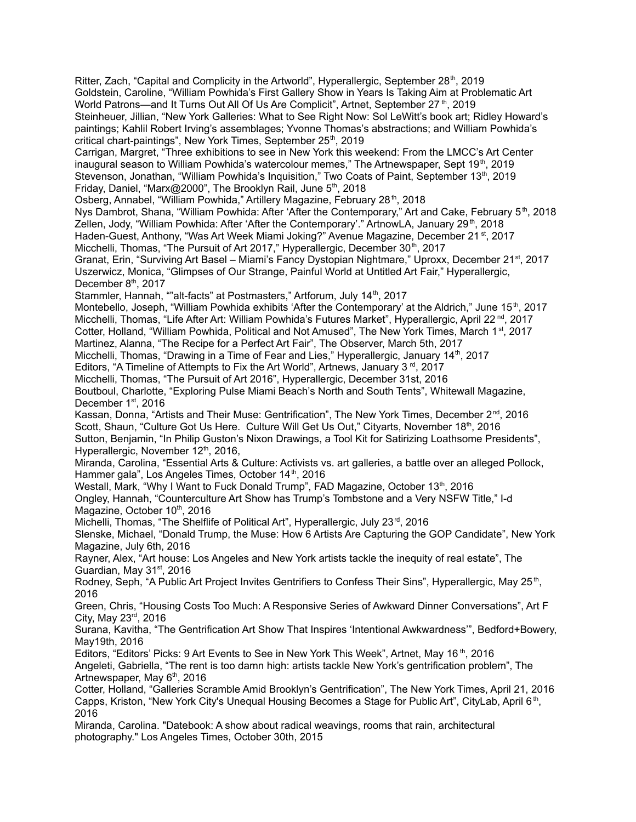Ritter, Zach, "Capital and Complicity in the Artworld", Hyperallergic, September 28<sup>th</sup>, 2019 Goldstein, Caroline, "William Powhida's First Gallery Show in Years Is Taking Aim at Problematic Art World Patrons—and It Turns Out All Of Us Are Complicit", Artnet, September 27 th, 2019 Steinheuer, Jillian, "New York Galleries: What to See Right Now: Sol LeWitt's book art; Ridley Howard's paintings; Kahlil Robert Irving's assemblages; Yvonne Thomas's abstractions; and William Powhida's critical chart-paintings", New York Times, September 25<sup>th</sup>, 2019 Carrigan, Margret, "Three exhibitions to see in New York this weekend: From the LMCC's Art Center inaugural season to William Powhida's watercolour memes," The Artnewspaper, Sept 19th, 2019 Stevenson, Jonathan, "William Powhida's Inquisition," Two Coats of Paint, September 13<sup>th</sup>, 2019 Friday, Daniel, "Marx@2000", The Brooklyn Rail, June 5<sup>th</sup>, 2018 Osberg, Annabel, "William Powhida," Artillery Magazine, February 28<sup>th</sup>, 2018 Nys Dambrot, Shana, "William Powhida: After 'After the Contemporary," Art and Cake, February 5<sup>th</sup>, 2018 Zellen, Jody, "William Powhida: After 'After the Contemporary'." ArtnowLA, January 29<sup>th</sup>, 2018 Haden-Guest, Anthony, "Was Art Week Miami Joking?" Avenue Magazine, December 21<sup>st</sup>, 2017 Micchelli, Thomas, "The Pursuit of Art 2017," Hyperallergic, December 30<sup>th</sup>, 2017 Granat, Erin, "Surviving Art Basel - Miami's Fancy Dystopian Nightmare," Uproxx, December 21<sup>st</sup>, 2017 Uszerwicz, Monica, "Glimpses of Our Strange, Painful World at Untitled Art Fair," Hyperallergic, December 8<sup>th</sup>, 2017 Stammler, Hannah, ""alt-facts" at Postmasters," Artforum, July 14<sup>th</sup>, 2017 Montebello, Joseph, "William Powhida exhibits 'After the Contemporary' at the Aldrich," June 15<sup>th</sup>, 2017 Micchelli, Thomas, "Life After Art: William Powhida's Futures Market", Hyperallergic, April 22 nd , 2017 Cotter, Holland, "William Powhida, Political and Not Amused", The New York Times, March 1<sup>st</sup>, 2017 Martinez, Alanna, "The Recipe for a Perfect Art Fair", The Observer, March 5th, 2017 Micchelli, Thomas, "Drawing in a Time of Fear and Lies," Hyperallergic, January 14<sup>th</sup>, 2017 Editors, "A Timeline of Attempts to Fix the Art World", Artnews, January 3<sup>rd</sup>, 2017 Micchelli, Thomas, "The Pursuit of Art 2016", Hyperallergic, December 31st, 2016 Boutboul, Charlotte, "Exploring Pulse Miami Beach's North and South Tents", Whitewall Magazine, December 1<sup>st</sup>, 2016 Kassan, Donna, "Artists and Their Muse: Gentrification", The New York Times, December 2<sup>nd</sup>, 2016 Scott, Shaun, "Culture Got Us Here. Culture Will Get Us Out," Cityarts, November 18th, 2016 Sutton, Benjamin, "In Philip Guston's Nixon Drawings, a Tool Kit for Satirizing Loathsome Presidents", Hyperallergic, November 12<sup>th</sup>, 2016, Miranda, Carolina, "Essential Arts & Culture: Activists vs. art galleries, a battle over an alleged Pollock, Hammer gala", Los Angeles Times, October 14<sup>th</sup>, 2016 Westall, Mark, "Why I Want to Fuck Donald Trump", FAD Magazine, October 13<sup>th</sup>, 2016 Ongley, Hannah, "Counterculture Art Show has Trump's Tombstone and a Very NSFW Title," I-d Magazine, October 10<sup>th</sup>, 2016 Michelli, Thomas, "The Shelflife of Political Art", Hyperallergic, July 23<sup>rd</sup>, 2016 Slenske, Michael, "Donald Trump, the Muse: How 6 Artists Are Capturing the GOP Candidate", New York Magazine, July 6th, 2016 Rayner, Alex, "Art house: Los Angeles and New York artists tackle the inequity of real estate", The Guardian, May 31<sup>st</sup>, 2016 Rodney, Seph, "A Public Art Project Invites Gentrifiers to Confess Their Sins", Hyperallergic, May 25<sup>th</sup>, 2016 Green, Chris, "Housing Costs Too Much: A Responsive Series of Awkward Dinner Conversations", Art F City, May 23<sup>rd</sup>, 2016 Surana, Kavitha, "The Gentrification Art Show That Inspires 'Intentional Awkwardness'", Bedford+Bowery, May19th, 2016 Editors, "Editors' Picks: 9 Art Events to See in New York This Week", Artnet, May 16<sup>th</sup>, 2016 Angeleti, Gabriella, "The rent is too damn high: artists tackle New York's gentrification problem", The Artnewspaper, May 6<sup>th</sup>, 2016 Cotter, Holland, "Galleries Scramble Amid Brooklyn's Gentrification", The New York Times, April 21, 2016 Capps, Kriston, "New York City's Unequal Housing Becomes a Stage for Public Art", CityLab, April 6<sup>th</sup>, 2016 Miranda, Carolina. "Datebook: A show about radical weavings, rooms that rain, architectural photography." Los Angeles Times, October 30th, 2015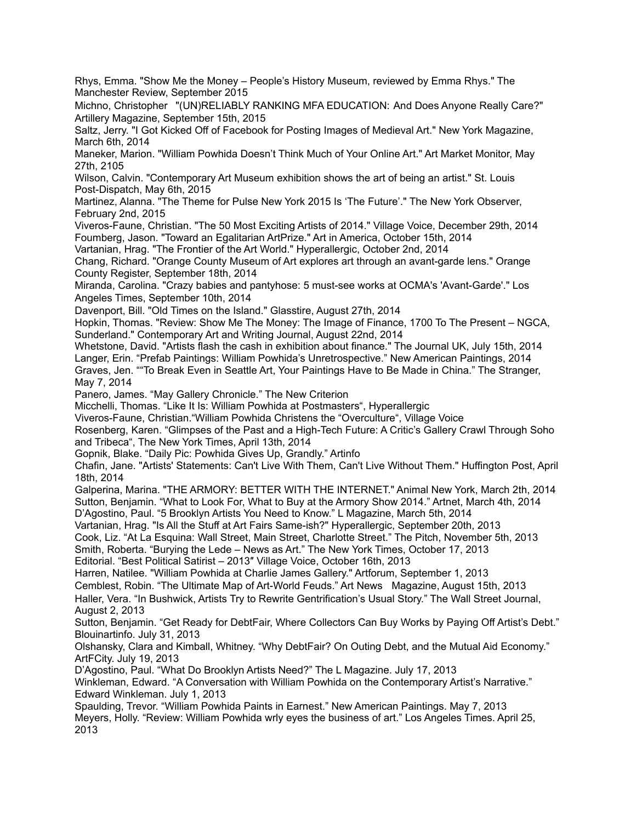Rhys, Emma. "Show Me the Money – People's History Museum, reviewed by Emma Rhys." The Manchester Review, September 2015

Michno, Christopher "(UN)RELIABLY RANKING MFA EDUCATION: And Does Anyone Really Care?" Artillery Magazine, September 15th, 2015

Saltz, Jerry. "I Got Kicked Off of Facebook for Posting Images of Medieval Art." New York Magazine, March 6th, 2014

Maneker, Marion. "William Powhida Doesn't Think Much of Your Online Art." Art Market Monitor, May 27th, 2105

Wilson, Calvin. "Contemporary Art Museum exhibition shows the art of being an artist." St. Louis Post-Dispatch, May 6th, 2015

Martinez, Alanna. "The Theme for Pulse New York 2015 Is 'The Future'." The New York Observer, February 2nd, 2015

Viveros-Faune, Christian. "The 50 Most Exciting Artists of 2014." Village Voice, December 29th, 2014 Foumberg, Jason. "Toward an Egalitarian ArtPrize." Art in America, October 15th, 2014

Vartanian, Hrag. "The Frontier of the Art World." Hyperallergic, October 2nd, 2014

Chang, Richard. "Orange County Museum of Art explores art through an avant-garde lens." Orange County Register, September 18th, 2014

Miranda, Carolina. "Crazy babies and pantyhose: 5 must-see works at OCMA's 'Avant-Garde'." Los Angeles Times, September 10th, 2014

Davenport, Bill. "Old Times on the Island." Glasstire, August 27th, 2014

Hopkin, Thomas. "Review: Show Me The Money: The Image of Finance, 1700 To The Present – NGCA, Sunderland." Contemporary Art and Writing Journal, August 22nd, 2014

Whetstone, David. "Artists flash the cash in exhibition about finance." The Journal UK, July 15th, 2014 Langer, Erin. "Prefab Paintings: William Powhida's Unretrospective." New American Paintings, 2014 Graves, Jen. ""To Break Even in Seattle Art, Your Paintings Have to Be Made in China." The Stranger, May 7, 2014

Panero, James. "May Gallery Chronicle." The New Criterion

Micchelli, Thomas. "Like It Is: William Powhida at Postmasters", Hyperallergic

Viveros-Faune, Christian."William Powhida Christens the "Overculture", Village Voice

Rosenberg, Karen. "Glimpses of the Past and a High-Tech Future: A Critic's Gallery Crawl Through Soho and Tribeca", The New York Times, April 13th, 2014

Gopnik, Blake. "Daily Pic: Powhida Gives Up, Grandly." Artinfo

Chafin, Jane. "Artists' Statements: Can't Live With Them, Can't Live Without Them." Huffington Post, April 18th, 2014

Galperina, Marina. "THE ARMORY: BETTER WITH THE INTERNET." Animal New York, March 2th, 2014 Sutton, Benjamin. "What to Look For, What to Buy at the Armory Show 2014." Artnet, March 4th, 2014 D'Agostino, Paul. "5 Brooklyn Artists You Need to Know." L Magazine, March 5th, 2014

Vartanian, Hrag. "Is All the Stuff at Art Fairs Same-ish?" Hyperallergic, September 20th, 2013

Cook, Liz. "At La Esquina: Wall Street, Main Street, Charlotte Street." The Pitch, November 5th, 2013

Smith, Roberta. "Burying the Lede – News as Art." The New York Times, October 17, 2013

Editorial. "Best Political Satirist – 2013″ Village Voice, October 16th, 2013

Harren, Natilee. "William Powhida at Charlie James Gallery." Artforum, September 1, 2013

Cemblest, Robin. "The Ultimate Map of Art-World Feuds." Art News Magazine, August 15th, 2013 Haller, Vera. "In Bushwick, Artists Try to Rewrite Gentrification's Usual Story." The Wall Street Journal, August 2, 2013

Sutton, Benjamin. "Get Ready for DebtFair, Where Collectors Can Buy Works by Paying Off Artist's Debt." Blouinartinfo. July 31, 2013

Olshansky, Clara and Kimball, Whitney. "Why DebtFair? On Outing Debt, and the Mutual Aid Economy." ArtFCity. July 19, 2013

D'Agostino, Paul. "What Do Brooklyn Artists Need?" The L Magazine. July 17, 2013

Winkleman, Edward. "A Conversation with William Powhida on the Contemporary Artist's Narrative." Edward Winkleman. July 1, 2013

Spaulding, Trevor. "William Powhida Paints in Earnest." New American Paintings. May 7, 2013 Meyers, Holly. "Review: William Powhida wrly eyes the business of art." Los Angeles Times. April 25, 2013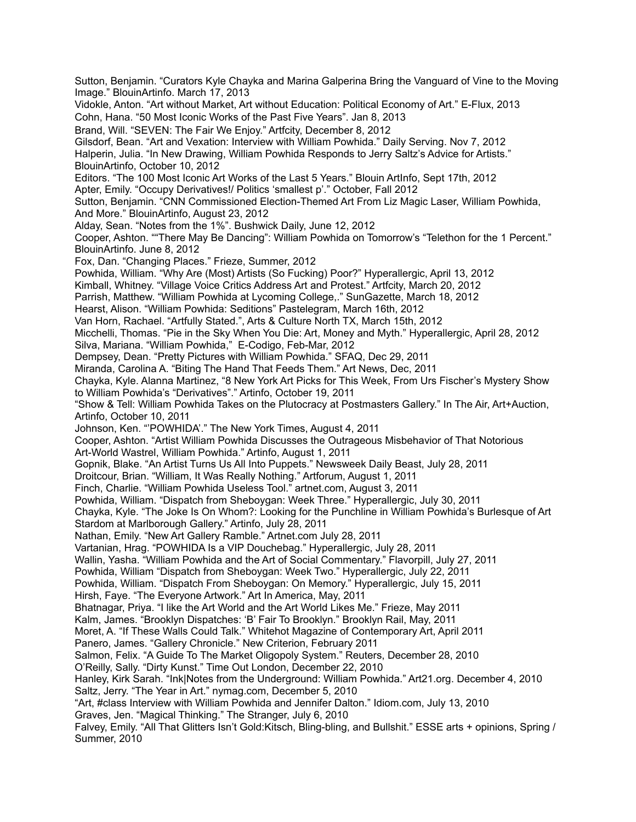Sutton, Benjamin. "Curators Kyle Chayka and Marina Galperina Bring the Vanguard of Vine to the Moving Image." BlouinArtinfo. March 17, 2013 Vidokle, Anton. "Art without Market, Art without Education: Political Economy of Art." E-Flux, 2013 Cohn, Hana. "50 Most Iconic Works of the Past Five Years". Jan 8, 2013 Brand, Will. "SEVEN: The Fair We Enjoy." Artfcity, December 8, 2012 Gilsdorf, Bean. "Art and Vexation: Interview with William Powhida." Daily Serving. Nov 7, 2012 Halperin, Julia. "In New Drawing, William Powhida Responds to Jerry Saltz's Advice for Artists." BlouinArtinfo, October 10, 2012 Editors. "The 100 Most Iconic Art Works of the Last 5 Years." Blouin ArtInfo, Sept 17th, 2012 Apter, Emily. "Occupy Derivatives!/ Politics 'smallest p'." October, Fall 2012 Sutton, Benjamin. "CNN Commissioned Election-Themed Art From Liz Magic Laser, William Powhida, And More." BlouinArtinfo, August 23, 2012 Alday, Sean. "Notes from the 1%". Bushwick Daily, June 12, 2012 Cooper, Ashton. ""There May Be Dancing": William Powhida on Tomorrow's "Telethon for the 1 Percent." BlouinArtinfo. June 8, 2012 Fox, Dan. "Changing Places." Frieze, Summer, 2012 Powhida, William. "Why Are (Most) Artists (So Fucking) Poor?" Hyperallergic, April 13, 2012 Kimball, Whitney. "Village Voice Critics Address Art and Protest." Artfcity, March 20, 2012 Parrish, Matthew. "William Powhida at Lycoming College,." SunGazette, March 18, 2012 Hearst, Alison. "William Powhida: Seditions" Pastelegram, March 16th, 2012 Van Horn, Rachael. "Artfully Stated.", Arts & Culture North TX, March 15th, 2012 Micchelli, Thomas. "Pie in the Sky When You Die: Art, Money and Myth." Hyperallergic, April 28, 2012 Silva, Mariana. "William Powhida," E-Codigo, Feb-Mar, 2012 Dempsey, Dean. "Pretty Pictures with William Powhida." SFAQ, Dec 29, 2011 Miranda, Carolina A. "Biting The Hand That Feeds Them." Art News, Dec, 2011 Chayka, Kyle. Alanna Martinez, "8 New York Art Picks for This Week, From Urs Fischer's Mystery Show to William Powhida's "Derivatives"." Artinfo, October 19, 2011 "Show & Tell: William Powhida Takes on the Plutocracy at Postmasters Gallery." In The Air, Art+Auction, Artinfo, October 10, 2011 Johnson, Ken. "'POWHIDA'." The New York Times, August 4, 2011 Cooper, Ashton. "Artist William Powhida Discusses the Outrageous Misbehavior of That Notorious Art-World Wastrel, William Powhida." Artinfo, August 1, 2011 Gopnik, Blake. "An Artist Turns Us All Into Puppets." Newsweek Daily Beast, July 28, 2011 Droitcour, Brian. "William, It Was Really Nothing." Artforum, August 1, 2011 Finch, Charlie. "William Powhida Useless Tool." artnet.com, August 3, 2011 Powhida, William. "Dispatch from Sheboygan: Week Three." Hyperallergic, July 30, 2011 Chayka, Kyle. "The Joke Is On Whom?: Looking for the Punchline in William Powhida's Burlesque of Art Stardom at Marlborough Gallery." Artinfo, July 28, 2011 Nathan, Emily. "New Art Gallery Ramble." Artnet.com July 28, 2011 Vartanian, Hrag. "POWHIDA Is a VIP Douchebag." Hyperallergic, July 28, 2011 Wallin, Yasha. "William Powhida and the Art of Social Commentary." Flavorpill, July 27, 2011 Powhida, William "Dispatch from Sheboygan: Week Two." Hyperallergic, July 22, 2011 Powhida, William. "Dispatch From Sheboygan: On Memory." Hyperallergic, July 15, 2011 Hirsh, Faye. "The Everyone Artwork." Art In America, May, 2011 Bhatnagar, Priya. "I like the Art World and the Art World Likes Me." Frieze, May 2011 Kalm, James. "Brooklyn Dispatches: 'B' Fair To Brooklyn." Brooklyn Rail, May, 2011 Moret, A. "If These Walls Could Talk." Whitehot Magazine of Contemporary Art, April 2011 Panero, James. "Gallery Chronicle." New Criterion, February 2011 Salmon, Felix. "A Guide To The Market Oligopoly System." Reuters, December 28, 2010 O'Reilly, Sally. "Dirty Kunst." Time Out London, December 22, 2010 Hanley, Kirk Sarah. "Ink|Notes from the Underground: William Powhida." Art21.org. December 4, 2010 Saltz, Jerry. "The Year in Art." nymag.com, December 5, 2010 "Art, #class Interview with William Powhida and Jennifer Dalton." Idiom.com, July 13, 2010 Graves, Jen. "Magical Thinking." The Stranger, July 6, 2010 Falvey, Emily. "All That Glitters Isn't Gold:Kitsch, Bling-bling, and Bullshit." ESSE arts + opinions, Spring / Summer, 2010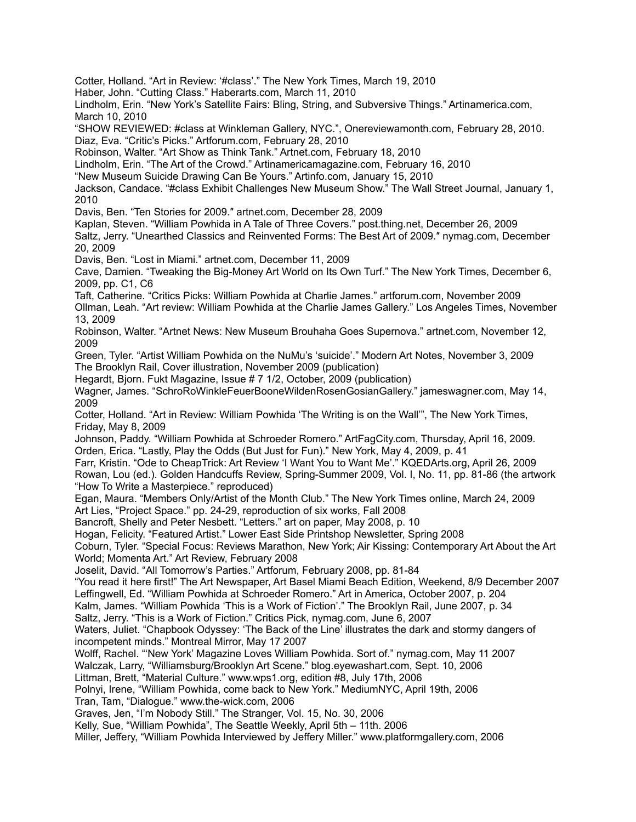Cotter, Holland. "Art in Review: '#class'." The New York Times, March 19, 2010

Haber, John. "Cutting Class." Haberarts.com, March 11, 2010

Lindholm, Erin. "New York's Satellite Fairs: Bling, String, and Subversive Things." Artinamerica.com, March 10, 2010

"SHOW REVIEWED: #class at Winkleman Gallery, NYC.", Onereviewamonth.com, February 28, 2010. Diaz, Eva. "Critic's Picks." Artforum.com, February 28, 2010

Robinson, Walter. "Art Show as Think Tank." Artnet.com, February 18, 2010

Lindholm, Erin. "The Art of the Crowd." Artinamericamagazine.com, February 16, 2010

"New Museum Suicide Drawing Can Be Yours." Artinfo.com, January 15, 2010

Jackson, Candace. "#class Exhibit Challenges New Museum Show." The Wall Street Journal, January 1, 2010

Davis, Ben. "Ten Stories for 2009.″ artnet.com, December 28, 2009

Kaplan, Steven. "William Powhida in A Tale of Three Covers." post.thing.net, December 26, 2009 Saltz, Jerry. "Unearthed Classics and Reinvented Forms: The Best Art of 2009.″ nymag.com, December 20, 2009

Davis, Ben. "Lost in Miami." artnet.com, December 11, 2009

Cave, Damien. "Tweaking the Big-Money Art World on Its Own Turf." The New York Times, December 6, 2009, pp. C1, C6

Taft, Catherine. "Critics Picks: William Powhida at Charlie James." artforum.com, November 2009

Ollman, Leah. "Art review: William Powhida at the Charlie James Gallery." Los Angeles Times, November 13, 2009

Robinson, Walter. "Artnet News: New Museum Brouhaha Goes Supernova." artnet.com, November 12, 2009

Green, Tyler. "Artist William Powhida on the NuMu's 'suicide'." Modern Art Notes, November 3, 2009 The Brooklyn Rail, Cover illustration, November 2009 (publication)

Hegardt, Bjorn. Fukt Magazine, Issue # 7 1/2, October, 2009 (publication)

Wagner, James. "SchroRoWinkleFeuerBooneWildenRosenGosianGallery." jameswagner.com, May 14, 2009

Cotter, Holland. "Art in Review: William Powhida 'The Writing is on the Wall'", The New York Times, Friday, May 8, 2009

Johnson, Paddy. "William Powhida at Schroeder Romero." ArtFagCity.com, Thursday, April 16, 2009. Orden, Erica. "Lastly, Play the Odds (But Just for Fun)." New York, May 4, 2009, p. 41

Farr, Kristin. "Ode to CheapTrick: Art Review 'I Want You to Want Me'." KQEDArts.org, April 26, 2009 Rowan, Lou (ed.). Golden Handcuffs Review, Spring-Summer 2009, Vol. I, No. 11, pp. 81-86 (the artwork "How To Write a Masterpiece." reproduced)

Egan, Maura. "Members Only/Artist of the Month Club." The New York Times online, March 24, 2009 Art Lies, "Project Space." pp. 24-29, reproduction of six works, Fall 2008

Bancroft, Shelly and Peter Nesbett. "Letters." art on paper, May 2008, p. 10

Hogan, Felicity. "Featured Artist." Lower East Side Printshop Newsletter, Spring 2008

Coburn, Tyler. "Special Focus: Reviews Marathon, New York; Air Kissing: Contemporary Art About the Art World; Momenta Art." Art Review, February 2008

Joselit, David. "All Tomorrow's Parties." Artforum, February 2008, pp. 81-84

"You read it here first!" The Art Newspaper, Art Basel Miami Beach Edition, Weekend, 8/9 December 2007

Leffingwell, Ed. "William Powhida at Schroeder Romero." Art in America, October 2007, p. 204

Kalm, James. "William Powhida 'This is a Work of Fiction'." The Brooklyn Rail, June 2007, p. 34

Saltz, Jerry. "This is a Work of Fiction." Critics Pick, nymag.com, June 6, 2007

Waters, Juliet. "Chapbook Odyssey: 'The Back of the Line' illustrates the dark and stormy dangers of incompetent minds." Montreal Mirror, May 17 2007

Wolff, Rachel. "'New York' Magazine Loves William Powhida. Sort of." nymag.com, May 11 2007

Walczak, Larry, "Williamsburg/Brooklyn Art Scene." blog.eyewashart.com, Sept. 10, 2006

Littman, Brett, "Material Culture." www.wps1.org, edition #8, July 17th, 2006

Polnyi, Irene, "William Powhida, come back to New York." MediumNYC, April 19th, 2006

Tran, Tam, "Dialogue." www.the-wick.com, 2006

Graves, Jen, "I'm Nobody Still." The Stranger, Vol. 15, No. 30, 2006

Kelly, Sue, "William Powhida", The Seattle Weekly, April 5th – 11th. 2006

Miller, Jeffery, "William Powhida Interviewed by Jeffery Miller." www.platformgallery.com, 2006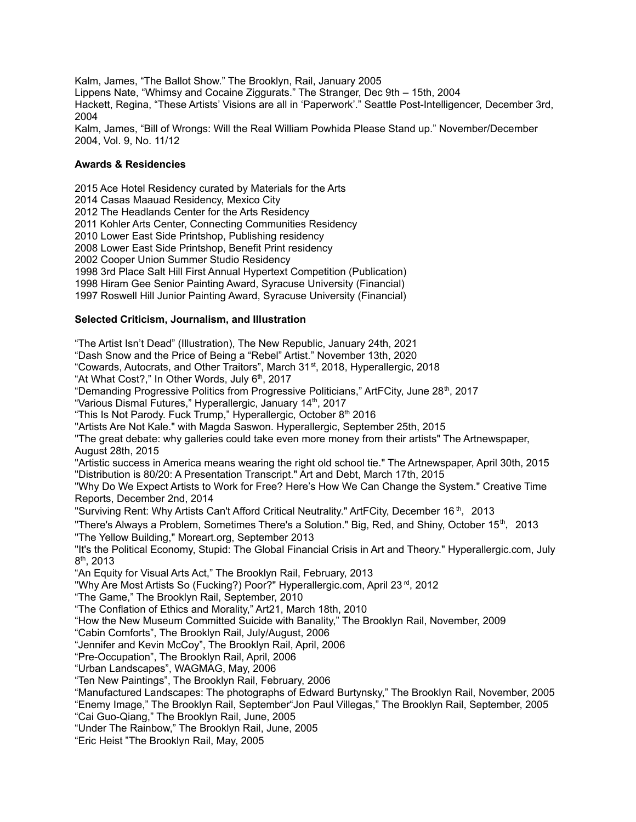Kalm, James, "The Ballot Show." The Brooklyn, Rail, January 2005 Lippens Nate, "Whimsy and Cocaine Ziggurats." The Stranger, Dec 9th – 15th, 2004 Hackett, Regina, "These Artists' Visions are all in 'Paperwork'." Seattle Post-Intelligencer, December 3rd, 2004

Kalm, James, "Bill of Wrongs: Will the Real William Powhida Please Stand up." November/December 2004, Vol. 9, No. 11/12

#### **Awards & Residencies**

 Ace Hotel Residency curated by Materials for the Arts Casas Maauad Residency, Mexico City The Headlands Center for the Arts Residency Kohler Arts Center, Connecting Communities Residency Lower East Side Printshop, Publishing residency Lower East Side Printshop, Benefit Print residency Cooper Union Summer Studio Residency 3rd Place Salt Hill First Annual Hypertext Competition (Publication) Hiram Gee Senior Painting Award, Syracuse University (Financial) Roswell Hill Junior Painting Award, Syracuse University (Financial) **Selected Criticism, Journalism, and Illustration** "The Artist Isn't Dead" (Illustration), The New Republic, January 24th, 2021

"Dash Snow and the Price of Being a "Rebel" Artist." November 13th, 2020 "Cowards, Autocrats, and Other Traitors", March 31<sup>st</sup>, 2018, Hyperallergic, 2018 "At What Cost?," In Other Words, July 6<sup>th</sup>, 2017 "Demanding Progressive Politics from Progressive Politicians," ArtFCity, June 28<sup>th</sup>, 2017 "Various Dismal Futures," Hyperallergic, January 14<sup>th</sup>, 2017 "This Is Not Parody. Fuck Trump," Hyperallergic, October 8<sup>th</sup> 2016 "Artists Are Not Kale." with Magda Saswon. Hyperallergic, September 25th, 2015 "The great debate: why galleries could take even more money from their artists" The Artnewspaper, August 28th, 2015 "Artistic success in America means wearing the right old school tie." The Artnewspaper, April 30th, 2015 "Distribution is 80/20: A Presentation Transcript." Art and Debt, March 17th, 2015 "Why Do We Expect Artists to Work for Free? Here's How We Can Change the System." Creative Time Reports, December 2nd, 2014 "Surviving Rent: Why Artists Can't Afford Critical Neutrality." ArtFCity, December 16<sup>th</sup>, 2013 "There's Always a Problem, Sometimes There's a Solution." Big, Red, and Shiny, October 15<sup>th</sup>, 2013 "The Yellow Building," Moreart.org, September 2013 "It's the Political Economy, Stupid: The Global Financial Crisis in Art and Theory." Hyperallergic.com, July 8<sup>th</sup>, 2013 "An Equity for Visual Arts Act," The Brooklyn Rail, February, 2013 "Why Are Most Artists So (Fucking?) Poor?" Hyperallergic.com, April 23<sup>rd</sup>, 2012 "The Game," The Brooklyn Rail, September, 2010 "The Conflation of Ethics and Morality," Art21, March 18th, 2010 "How the New Museum Committed Suicide with Banality," The Brooklyn Rail, November, 2009 "Cabin Comforts", The Brooklyn Rail, July/August, 2006 "Jennifer and Kevin McCoy", The Brooklyn Rail, April, 2006 "Pre-Occupation", The Brooklyn Rail, April, 2006 "Urban Landscapes", WAGMAG, May, 2006 "Ten New Paintings", The Brooklyn Rail, February, 2006 "Manufactured Landscapes: The photographs of Edward Burtynsky," The Brooklyn Rail, November, 2005 "Enemy Image," The Brooklyn Rail, September"Jon Paul Villegas," The Brooklyn Rail, September, 2005 "Cai Guo-Qiang," The Brooklyn Rail, June, 2005 "Under The Rainbow," The Brooklyn Rail, June, 2005 "Eric Heist "The Brooklyn Rail, May, 2005